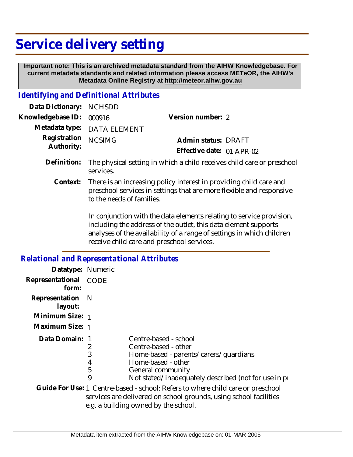## **Service delivery setting**

 **Important note: This is an archived metadata standard from the AIHW Knowledgebase. For current metadata standards and related information please access METeOR, the AIHW's Metadata Online Registry at http://meteor.aihw.gov.au**

## *Identifying and Definitional Attributes*

| Data Dictionary: NCHSDD           |                                                                              |                           |  |
|-----------------------------------|------------------------------------------------------------------------------|---------------------------|--|
| Knowledgebase ID: 000916          |                                                                              | Version number: 2         |  |
|                                   | Metadata type: DATA ELEMENT                                                  |                           |  |
| Registration NCSIMG<br>Authority: |                                                                              | Admin status: DRAFT       |  |
|                                   |                                                                              | Effective date: 01-APR-02 |  |
|                                   | Definition. The photological detting in which a shill researce abild gene ar |                           |  |

- Definition: The physical setting in which a child receives child care or preschool services.
	- There is an increasing policy interest in providing child care and preschool services in settings that are more flexible and responsive to the needs of families. **Context:**

In conjunction with the data elements relating to service provision, including the address of the outlet, this data element supports analyses of the availability of a range of settings in which children receive child care and preschool services.

## *Relational and Representational Attributes*

| Datatype: Numeric           |                       |                                                                                                                                                                                              |
|-----------------------------|-----------------------|----------------------------------------------------------------------------------------------------------------------------------------------------------------------------------------------|
| Representational<br>form:   | CODE                  |                                                                                                                                                                                              |
| Representation N<br>layout: |                       |                                                                                                                                                                                              |
| Minimum Size: 1             |                       |                                                                                                                                                                                              |
| Maximum Size: 1             |                       |                                                                                                                                                                                              |
| Data Domain: 1              | 2<br>3<br>4<br>5<br>9 | Centre-based - school<br>Centre-based - other<br>Home-based - parents/carers/quardians<br>Home-based - other<br>General community<br>Not stated/inadequately described (not for use in pro-  |
|                             |                       | Guide For Use: 1 Centre-based - school: Refers to where child care or preschool<br>services are delivered on school grounds, using school facilities<br>e.g. a building owned by the school. |